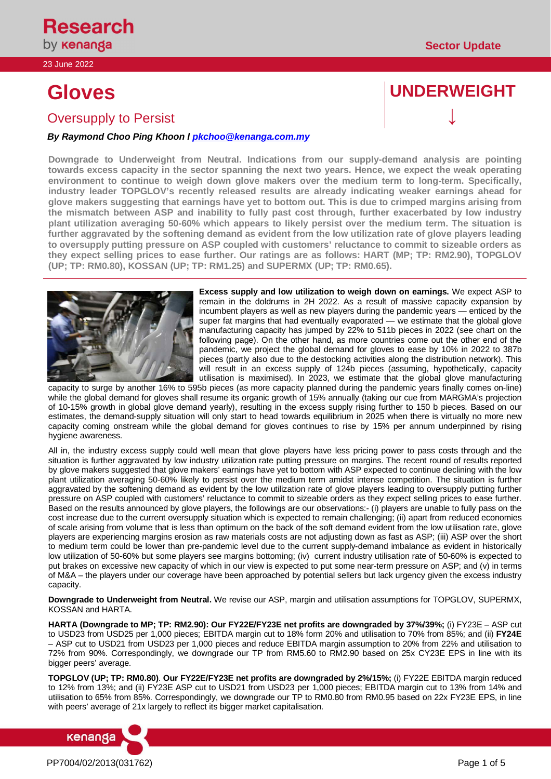# **Oversupply to Persist**

# *By Raymond Choo Ping Khoon l [pkchoo@kenanga.com.my](mailto:pkchoo@kenanga.com.my)*

**Downgrade to Underweight from Neutral. Indications from our supply-demand analysis are pointing towards excess capacity in the sector spanning the next two years. Hence, we expect the weak operating environment to continue to weigh down glove makers over the medium term to long-term. Specifically, industry leader TOPGLOV's recently released results are already indicating weaker earnings ahead for glove makers suggesting that earnings have yet to bottom out. This is due to crimped margins arising from the mismatch between ASP and inability to fully past cost through, further exacerbated by low industry plant utilization averaging 50-60% which appears to likely persist over the medium term. The situation is further aggravated by the softening demand as evident from the low utilization rate of glove players leading to oversupply putting pressure on ASP coupled with customers' reluctance to commit to sizeable orders as they expect selling prices to ease further. Our ratings are as follows: HART (MP; TP: RM2.90), TOPGLOV (UP; TP: RM0.80), KOSSAN (UP; TP: RM1.25) and SUPERMX (UP; TP: RM0.65).**

**Excess supply and low utilization to weigh down on earnings.** We expect ASP to remain in the doldrums in 2H 2022. As a result of massive capacity expansion by incumbent players as well as new players during the pandemic years — enticed by the super fat margins that had eventually evaporated — we estimate that the global glove manufacturing capacity has jumped by 22% to 511b pieces in 2022 (see chart on the following page). On the other hand, as more countries come out the other end of the pandemic, we project the global demand for gloves to ease by 10% in 2022 to 387b pieces (partly also due to the destocking activities along the distribution network). This will result in an excess supply of 124b pieces (assuming, hypothetically, capacity utilisation is maximised). In 2023, we estimate that the global glove manufacturing

capacity to surge by another 16% to 595b pieces (as more capacity planned during the pandemic years finally comes on-line) while the global demand for gloves shall resume its organic growth of 15% annually (taking our cue from MARGMA's projection of 10-15% growth in global glove demand yearly), resulting in the excess supply rising further to 150 b pieces. Based on our estimates, the demand-supply situation will only start to head towards equilibrium in 2025 when there is virtually no more new capacity coming onstream while the global demand for gloves continues to rise by 15% per annum underpinned by rising hygiene awareness.

All in, the industry excess supply could well mean that glove players have less pricing power to pass costs through and the situation is further aggravated by low industry utilization rate putting pressure on margins. The recent round of results reported by glove makers suggested that glove makers' earnings have yet to bottom with ASP expected to continue declining with the low plant utilization averaging 50-60% likely to persist over the medium term amidst intense competition. The situation is further aggravated by the softening demand as evident by the low utilization rate of glove players leading to oversupply putting further pressure on ASP coupled with customers' reluctance to commit to sizeable orders as they expect selling prices to ease further. Based on the results announced by glove players, the followings are our observations:- (i) players are unable to fully pass on the cost increase due to the current oversupply situation which is expected to remain challenging; (ii) apart from reduced economies of scale arising from volume that is less than optimum on the back of the soft demand evident from the low utilisation rate, glove players are experiencing margins erosion as raw materials costs are not adjusting down as fast as ASP; (iii) ASP over the short to medium term could be lower than pre-pandemic level due to the current supply-demand imbalance as evident in historically low utilization of 50-60% but some players see margins bottoming; (iv) current industry utilisation rate of 50-60% is expected to put brakes on excessive new capacity of which in our view is expected to put some near-term pressure on ASP; and (v) in terms of M&A – the players under our coverage have been approached by potential sellers but lack urgency given the excess industry capacity.

**Downgrade to Underweight from Neutral.** We revise our ASP, margin and utilisation assumptions for TOPGLOV, SUPERMX, KOSSAN and HARTA.

**HARTA (Downgrade to MP; TP: RM2.90): Our FY22E/FY23E net profits are downgraded by 37%/39%;** (i) FY23E – ASP cut to USD23 from USD25 per 1,000 pieces; EBITDA margin cut to 18% form 20% and utilisation to 70% from 85%; and (ii) **FY24E** – ASP cut to USD21 from USD23 per 1,000 pieces and reduce EBITDA margin assumption to 20% from 22% and utilisation to 72% from 90%. Correspondingly, we downgrade our TP from RM5.60 to RM2.90 based on 25x CY23E EPS in line with its bigger peers' average.

**TOPGLOV (UP; TP: RM0.80)**. **Our FY22E/FY23E net profits are downgraded by 2%/15%;** (i) FY22E EBITDA margin reduced to 12% from 13%; and (ii) FY23E ASP cut to USD21 from USD23 per 1,000 pieces; EBITDA margin cut to 13% from 14% and utilisation to 65% from 85%. Correspondingly, we downgrade our TP to RM0.80 from RM0.95 based on 22x FY23E EPS, in line with peers' average of 21x largely to reflect its bigger market capitalisation.



kenanga

# **Gloves UNDERWEIGHT**

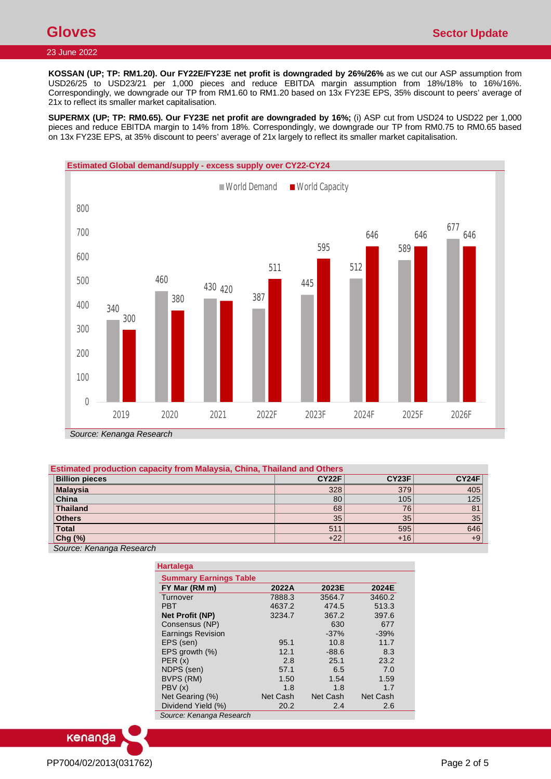**KOSSAN (UP; TP: RM1.20). Our FY22E/FY23E net profit is downgraded by 26%/26%** as we cut our ASP assumption from USD26/25 to USD23/21 per 1,000 pieces and reduce EBITDA margin assumption from 18%/18% to 16%/16%. Correspondingly, we downgrade our TP from RM1.60 to RM1.20 based on 13x FY23E EPS, 35% discount to peers' average of 21x to reflect its smaller market capitalisation.

**SUPERMX (UP; TP: RM0.65). Our FY23E net profit are downgraded by 16%;** (i) ASP cut from USD24 to USD22 per 1,000 pieces and reduce EBITDA margin to 14% from 18%. Correspondingly, we downgrade our TP from RM0.75 to RM0.65 based on 13x FY23E EPS, at 35% discount to peers' average of 21x largely to reflect its smaller market capitalisation.



# **Estimated production capacity from Malaysia, China, Thailand and Others**

| <b>Billion pieces</b>    | <b>CY22F</b> | CY23F | CY24F |
|--------------------------|--------------|-------|-------|
| Malaysia                 | 328          | 379   | 405   |
| China                    | 80           | 105   | 125   |
| Thailand                 | 68           | 76    | 81    |
| <b>Others</b>            | 35           | 35    | 35    |
| <b>Total</b>             | 51'          | 595   | 646   |
| $Chg(\%)$                | $+22$        | $+16$ | $+9$  |
| Source: Kenanga Research |              |       |       |

| Hartalega                     |          |          |          |
|-------------------------------|----------|----------|----------|
| <b>Summary Earnings Table</b> |          |          |          |
| FY Mar (RM m)                 | 2022A    | 2023E    | 2024E    |
| Turnover                      | 7888.3   | 3564.7   | 3460.2   |
| <b>PBT</b>                    | 4637.2   | 474.5    | 513.3    |
| Net Profit (NP)               | 3234.7   | 367.2    | 397.6    |
| Consensus (NP)                |          | 630      | 677      |
| <b>Earnings Revision</b>      |          | $-37%$   | $-39%$   |
| EPS (sen)                     | 95.1     | 10.8     | 11.7     |
| EPS growth $(\%)$             | 12.1     | $-88.6$  | 8.3      |
| PER(x)                        | 2.8      | 25.1     | 23.2     |
| NDPS (sen)                    | 57.1     | 6.5      | 7.0      |
| BVPS (RM)                     | 1.50     | 1.54     | 1.59     |
| PBV(x)                        | 1.8      | 1.8      | 1.7      |
| Net Gearing (%)               | Net Cash | Net Cash | Net Cash |
| Dividend Yield (%)            | 20.2     | 2.4      | 2.6      |
| Source: Kenanga Research      |          |          |          |

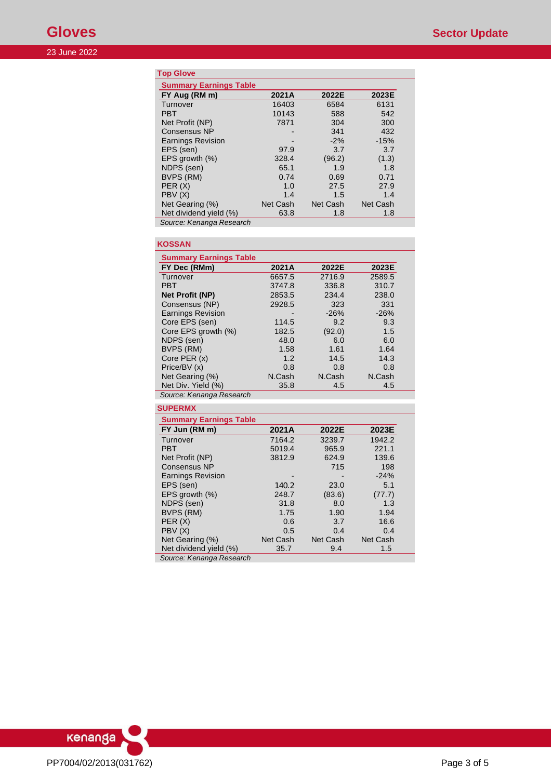# **Top Glove**

| <b>Summary Earnings Table</b> |          |          |          |
|-------------------------------|----------|----------|----------|
| FY Aug (RM m)                 | 2021A    | 2022E    | 2023E    |
| Turnover                      | 16403    | 6584     | 6131     |
| <b>PBT</b>                    | 10143    | 588      | 542      |
| Net Profit (NP)               | 7871     | 304      | 300      |
| <b>Consensus NP</b>           |          | 341      | 432      |
| <b>Earnings Revision</b>      |          | $-2%$    | $-15%$   |
| EPS (sen)                     | 97.9     | 3.7      | 3.7      |
| EPS growth (%)                | 328.4    | (96.2)   | (1.3)    |
| NDPS (sen)                    | 65.1     | 1.9      | 1.8      |
| BVPS (RM)                     | 0.74     | 0.69     | 0.71     |
| PER(X)                        | 1.0      | 27.5     | 27.9     |
| PBV(X)                        | 1.4      | 1.5      | 1.4      |
| Net Gearing (%)               | Net Cash | Net Cash | Net Cash |
| Net dividend yield (%)        | 63.8     | 1.8      | 1.8      |
| Source: Kenanga Research      |          |          |          |

| <b>KOSSAN</b>                 |          |          |          |  |
|-------------------------------|----------|----------|----------|--|
| <b>Summary Earnings Table</b> |          |          |          |  |
| FY Dec (RMm)                  | 2021A    | 2022E    | 2023E    |  |
| Turnover                      | 6657.5   | 2716.9   | 2589.5   |  |
| <b>PBT</b>                    | 3747.8   | 336.8    | 310.7    |  |
| <b>Net Profit (NP)</b>        | 2853.5   | 234.4    | 238.0    |  |
| Consensus (NP)                | 2928.5   | 323      | 331      |  |
| <b>Earnings Revision</b>      |          | $-26%$   | $-26%$   |  |
| Core EPS (sen)                | 114.5    | 9.2      | 9.3      |  |
| Core EPS growth (%)           | 182.5    | (92.0)   | 1.5      |  |
| NDPS (sen)                    | 48.0     | 6.0      | 6.0      |  |
| BVPS (RM)                     | 1.58     | 1.61     | 1.64     |  |
| Core PER (x)                  | 1.2      | 14.5     | 14.3     |  |
| Price/BV (x)                  | 0.8      | 0.8      | 0.8      |  |
| Net Gearing (%)               | N.Cash   | N.Cash   | N.Cash   |  |
| Net Div. Yield (%)            | 35.8     | 4.5      | 4.5      |  |
| Source: Kenanga Research      |          |          |          |  |
| <b>SUPERMX</b>                |          |          |          |  |
| <b>Summary Earnings Table</b> |          |          |          |  |
| FY Jun (RM m)                 | 2021A    | 2022E    | 2023E    |  |
| Turnover                      | 7164.2   | 3239.7   | 1942.2   |  |
| <b>PBT</b>                    | 5019.4   | 965.9    | 221.1    |  |
| Net Profit (NP)               | 3812.9   | 624.9    | 139.6    |  |
| <b>Consensus NP</b>           |          | 715      | 198      |  |
| <b>Earnings Revision</b>      |          |          | $-24%$   |  |
| EPS (sen)                     | 140.2    | 23.0     | 5.1      |  |
| EPS growth (%)                | 248.7    | (83.6)   | (77.7)   |  |
| NDPS (sen)                    | 31.8     | 8.0      | 1.3      |  |
| BVPS (RM)                     | 1.75     | 1.90     | 1.94     |  |
| PER(X)                        | 0.6      | 3.7      | 16.6     |  |
| PBV(X)                        | 0.5      | 0.4      | 0.4      |  |
| Net Gearing (%)               | Net Cash | Net Cash | Net Cash |  |
| Net dividend yield (%)        | 35.7     | 9.4      | 1.5      |  |

*Source: Kenanga Research* 

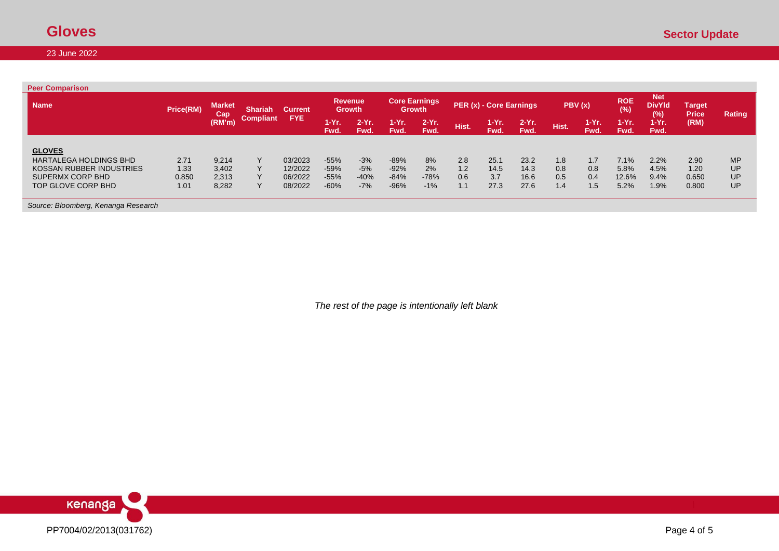| <b>Peer Comparison</b>                  |                  |                      |                  |                |               |                                                                                              |               |                 |       |                   |                                                              |       |                 |               |               |       |           |
|-----------------------------------------|------------------|----------------------|------------------|----------------|---------------|----------------------------------------------------------------------------------------------|---------------|-----------------|-------|-------------------|--------------------------------------------------------------|-------|-----------------|---------------|---------------|-------|-----------|
| <b>Name</b>                             | <b>Price(RM)</b> | <b>Market</b><br>Cap | <b>Shariah</b>   | <b>Current</b> |               | <b>Core Earnings</b><br><b>Revenue</b><br>PER (x) - Core Earnings<br>Growth<br><b>Growth</b> |               | PBV(x)          |       | <b>ROE</b><br>(%) | <b>Net</b><br><b>DivYld</b><br>Target<br>(%)<br><b>Price</b> |       | Rating          |               |               |       |           |
|                                         |                  | (RM'm)               | <b>Compliant</b> | <b>FYE</b>     | 1-Yr.<br>Fwd. | $2-Yr$<br>Fwd.                                                                               | 1-Yr.<br>Fwd. | $2-Yr.$<br>Fwd. | Hist. | $1-Yr.$<br>Fwd.   | $2-Yr$ .<br>Fwd.                                             | Hist. | $1-Yr.$<br>Fwd. | 1-Yr.<br>Fwd. | 1-Yr.<br>Fwd. | (RM)  |           |
|                                         |                  |                      |                  |                |               |                                                                                              |               |                 |       |                   |                                                              |       |                 |               |               |       |           |
| <b>GLOVES</b><br>HARTALEGA HOLDINGS BHD | 2.71             | 9,214                |                  | 03/2023        | $-55%$        | $-3%$                                                                                        | $-89%$        | 8%              | 2.8   | 25.1              | 23.2                                                         | 1.8   | 1.7             | 7.1%          | 2.2%          | 2.90  | <b>MP</b> |
| KOSSAN RUBBER INDUSTRIES                | 1.33             | 3,402                |                  | 12/2022        | $-59%$        | $-5%$                                                                                        | $-92%$        | 2%              | 1.2   | 14.5              | 14.3                                                         | 0.8   | 0.8             | 5.8%          | 4.5%          | 1.20  | UP        |
| SUPERMX CORP BHD                        | 0.850            | 2,313                |                  | 06/2022        | $-55%$        | $-40%$                                                                                       | $-84%$        | $-78%$          | 0.6   | 3.7               | 16.6                                                         | 0.5   | 0.4             | $12.6\%$      | 9.4%          | 0.650 | UP        |
| TOP GLOVE CORP BHD                      | 1.01             | 8,282                |                  | 08/2022        | $-60%$        | $-7%$                                                                                        | $-96%$        | $-1%$           | 1.1   | 27.3              | 27.6                                                         | 1.4   | 1.5             | 5.2%          | 1.9%          | 0.800 | UP        |

*Source: Bloomberg, Kenanga Research*

*The rest of the page is intentionally left blank*